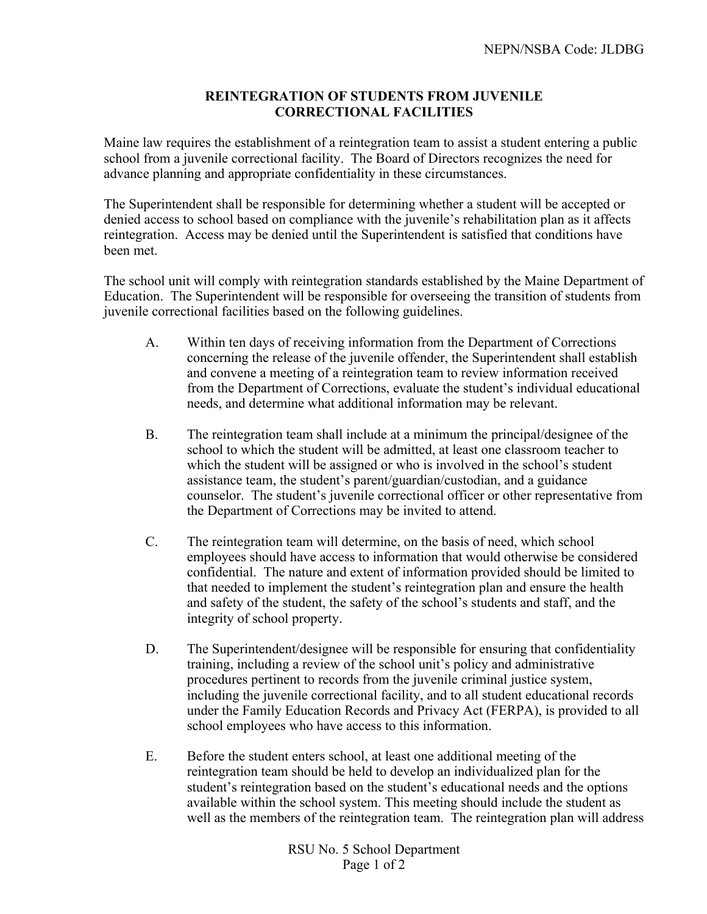## **REINTEGRATION OF STUDENTS FROM JUVENILE CORRECTIONAL FACILITIES**

Maine law requires the establishment of a reintegration team to assist a student entering a public school from a juvenile correctional facility. The Board of Directors recognizes the need for advance planning and appropriate confidentiality in these circumstances.

The Superintendent shall be responsible for determining whether a student will be accepted or denied access to school based on compliance with the juvenile's rehabilitation plan as it affects reintegration. Access may be denied until the Superintendent is satisfied that conditions have been met.

The school unit will comply with reintegration standards established by the Maine Department of Education. The Superintendent will be responsible for overseeing the transition of students from juvenile correctional facilities based on the following guidelines.

- A. Within ten days of receiving information from the Department of Corrections concerning the release of the juvenile offender, the Superintendent shall establish and convene a meeting of a reintegration team to review information received from the Department of Corrections, evaluate the student's individual educational needs, and determine what additional information may be relevant.
- B. The reintegration team shall include at a minimum the principal/designee of the school to which the student will be admitted, at least one classroom teacher to which the student will be assigned or who is involved in the school's student assistance team, the student's parent/guardian/custodian, and a guidance counselor. The student's juvenile correctional officer or other representative from the Department of Corrections may be invited to attend.
- C. The reintegration team will determine, on the basis of need, which school employees should have access to information that would otherwise be considered confidential. The nature and extent of information provided should be limited to that needed to implement the student's reintegration plan and ensure the health and safety of the student, the safety of the school's students and staff, and the integrity of school property.
- D. The Superintendent/designee will be responsible for ensuring that confidentiality training, including a review of the school unit's policy and administrative procedures pertinent to records from the juvenile criminal justice system, including the juvenile correctional facility, and to all student educational records under the Family Education Records and Privacy Act (FERPA), is provided to all school employees who have access to this information.
- E. Before the student enters school, at least one additional meeting of the reintegration team should be held to develop an individualized plan for the student's reintegration based on the student's educational needs and the options available within the school system. This meeting should include the student as well as the members of the reintegration team. The reintegration plan will address

RSU No. 5 School Department Page 1 of 2